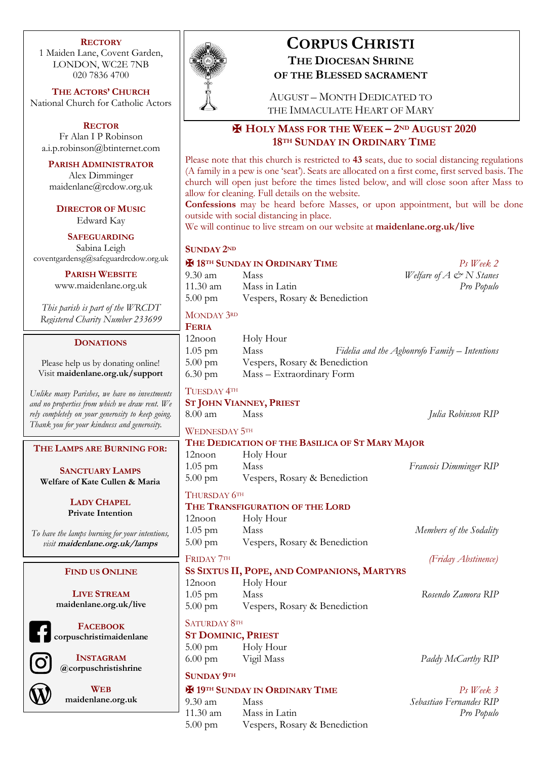#### **RECTORY**

1 Maiden Lane, Covent Garden, LONDON, WC2E 7NB 020 7836 4700

**THE ACTORS' CHURCH** National Church for Catholic Actors

**RECTOR**

Fr Alan I P Robinson a.i.p.robinson@btinternet.com

**PARISH ADMINISTRATOR** Alex Dimminger maidenlane@rcdow.org.uk

**DIRECTOR OF MUSIC** Edward Kay

#### **SAFEGUARDING**

Sabina Leigh coventgardensg@safeguardrcdow.org.uk

**PARISH WEBSITE**

www.maidenlane.org.uk

*This parish is part of the WRCDT Registered Charity Number 233699*

#### **DONATIONS**

Please help us by donating online! Visit **maidenlane.org.uk/support**

*Unlike many Parishes, we have no investments and no properties from which we draw rent. We rely completely on your generosity to keep going. Thank you for your kindness and generosity.* 

**THE LAMPS ARE BURNING FOR:**

**SANCTUARY LAMPS Welfare of Kate Cullen & Maria**

> **LADY CHAPEL Private Intention**

*To have the lamps burning for your intentions, visit* **maidenlane.org.uk/lamps**

#### **FIND US ONLINE**

**LIVE STREAM maidenlane.org.uk/live**

**FACEBOOK corpuschristimaidenlane**

**INSTAGRAM @corpuschristishrine**

**WEB maidenlane.org.uk**



# **CORPUS CHRISTI THE DIOCESAN SHRINE**

**OF THE BLESSED SACRAMENT**

AUGUST – MONTH DEDICATED TO THE IMMACULATE HEART OF MARY

# ✠ **HOLY MASS FOR THE WEEK – 2ND AUGUST 2020 18TH SUNDAY IN ORDINARY TIME**

Please note that this church is restricted to **43** seats, due to social distancing regulations (A family in a pew is one 'seat'). Seats are allocated on a first come, first served basis. The church will open just before the times listed below, and will close soon after Mass to allow for cleaning. Full details on the website.

**Confessions** may be heard before Masses, or upon appointment, but will be done outside with social distancing in place.

We will continue to live stream on our website at **maidenlane.org.uk/live**

#### **SUNDAY 2ND**

#### ✠ **18TH SUNDAY IN ORDINARY TIME** *Ps Week 2* 9.30 am Mass *Welfare of A*  $\mathcal{Q} \le N$  *Stanes* 11.30 am Mass in Latin *Pro Populo* 5.00 pm Vespers, Rosary & Benediction

#### MONDAY 3RD

**FERIA**

| <b>TEKIA</b>      |                               |                                               |
|-------------------|-------------------------------|-----------------------------------------------|
| 12noon            | Holy Hour                     |                                               |
| $1.05$ pm         | Mass                          | Fidelia and the Agbonrofo Family – Intentions |
| $5.00 \text{ pm}$ | Vespers, Rosary & Benediction |                                               |
| $6.30 \text{ pm}$ | Mass - Extraordinary Form     |                                               |
|                   |                               |                                               |

# TUESDAY 4TH

# **ST JOHN VIANNEY, PRIEST**

8.00 am Mass *Julia Robinson RIP* WEDNESDAY 5TH

# **THE DEDICATION OF THE BASILICA OF ST MARY MAJOR**

12noon Holy Hour 1.05 pm Mass *Francois Dimminger RIP* 5.00 pm Vespers, Rosary & Benediction

### THURSDAY 6TH

#### **THE TRANSFIGURATION OF THE LORD**

12noon Holy Hour 1.05 pm Mass *Members of the Sodality* 5.00 pm Vespers, Rosary & Benediction

#### FRIDAY 7TH *(Friday Abstinence)*

# **SS SIXTUS II, POPE, AND COMPANIONS, MARTYRS**

12noon Holy Hour 1.05 pm Mass *Rosendo Zamora RIP* 5.00 pm Vespers, Rosary & Benediction

**SATURDAY 8TH** 

#### **ST DOMINIC, PRIEST**

5.00 pm Holy Hour 6.00 pm Vigil Mass *Paddy McCarthy RIP*

# **SUNDAY 9TH**

# ✠ **19TH SUNDAY IN ORDINARY TIME** *Ps Week 3*

9.30 am Mass *Sebastiao Fernandes RIP* 11.30 am Mass in Latin *Pro Populo* 5.00 pm Vespers, Rosary & Benediction